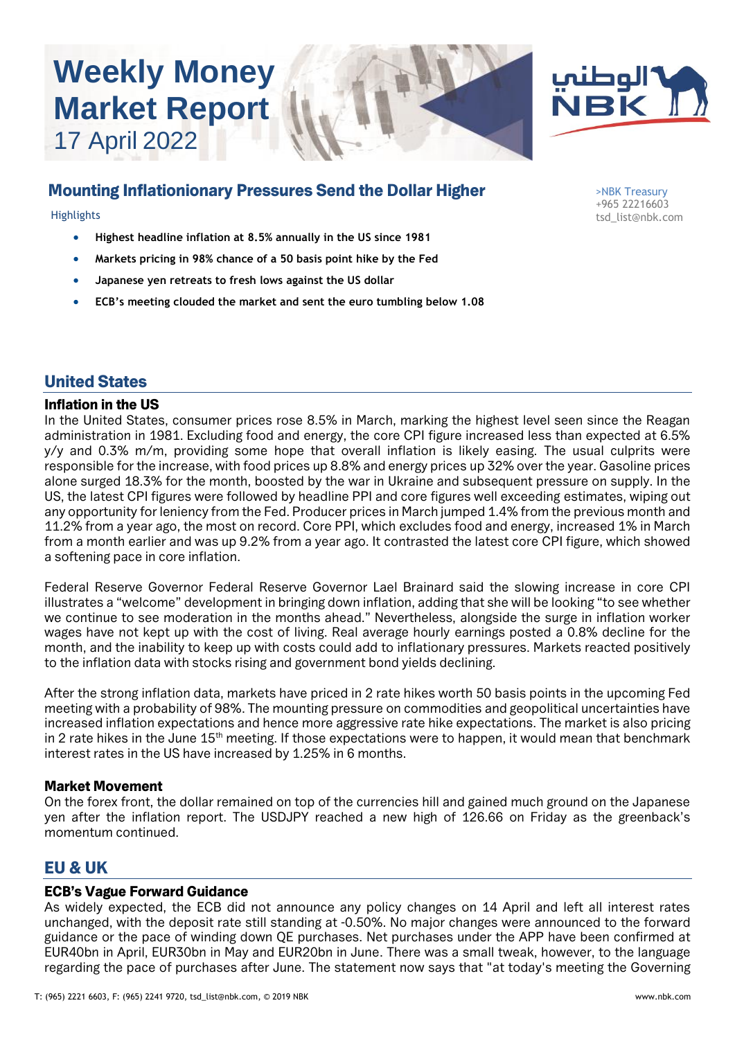# **Weekly Money Market Report** 17 April 2022





# Mounting Inflationionary Pressures Send the Dollar Higher

- **Highest headline inflation at 8.5% annually in the US since 1981**
- **Markets pricing in 98% chance of a 50 basis point hike by the Fed**
- **Japanese yen retreats to fresh lows against the US dollar**
- **ECB's meeting clouded the market and sent the euro tumbling below 1.08**

>NBK Treasury +965 22216603 Highlights tsd\_list@nbk.com

# United States

#### Inflation in the US

In the United States, consumer prices rose 8.5% in March, marking the highest level seen since the Reagan administration in 1981. Excluding food and energy, the core CPI figure increased less than expected at 6.5% y/y and 0.3% m/m, providing some hope that overall inflation is likely easing. The usual culprits were responsible for the increase, with food prices up 8.8% and energy prices up 32% over the year. Gasoline prices alone surged 18.3% for the month, boosted by the war in Ukraine and subsequent pressure on supply. In the US, the latest CPI figures were followed by headline PPI and core figures well exceeding estimates, wiping out any opportunity for leniency from the Fed. Producer prices in March jumped 1.4% from the previous month and 11.2% from a year ago, the most on record. Core PPI, which excludes food and energy, increased 1% in March from a month earlier and was up 9.2% from a year ago. It contrasted the latest core CPI figure, which showed a softening pace in core inflation.

Federal Reserve Governor Federal Reserve Governor Lael Brainard said the slowing increase in core CPI illustrates a "welcome" development in bringing down inflation, adding that she will be looking "to see whether we continue to see moderation in the months ahead." Nevertheless, alongside the surge in inflation worker wages have not kept up with the cost of living. Real average hourly earnings posted a 0.8% decline for the month, and the inability to keep up with costs could add to inflationary pressures. Markets reacted positively to the inflation data with stocks rising and government bond yields declining.

After the strong inflation data, markets have priced in 2 rate hikes worth 50 basis points in the upcoming Fed meeting with a probability of 98%. The mounting pressure on commodities and geopolitical uncertainties have increased inflation expectations and hence more aggressive rate hike expectations. The market is also pricing in 2 rate hikes in the June 15<sup>th</sup> meeting. If those expectations were to happen, it would mean that benchmark interest rates in the US have increased by 1.25% in 6 months.

#### Market Movement

On the forex front, the dollar remained on top of the currencies hill and gained much ground on the Japanese yen after the inflation report. The USDJPY reached a new high of 126.66 on Friday as the greenback's momentum continued.

# EU & UK

#### ECB's Vague Forward Guidance

As widely expected, the ECB did not announce any policy changes on 14 April and left all interest rates unchanged, with the deposit rate still standing at -0.50%. No major changes were announced to the forward guidance or the pace of winding down QE purchases. Net purchases under the APP have been confirmed at EUR40bn in April, EUR30bn in May and EUR20bn in June. There was a small tweak, however, to the language regarding the pace of purchases after June. The statement now says that "at today's meeting the Governing